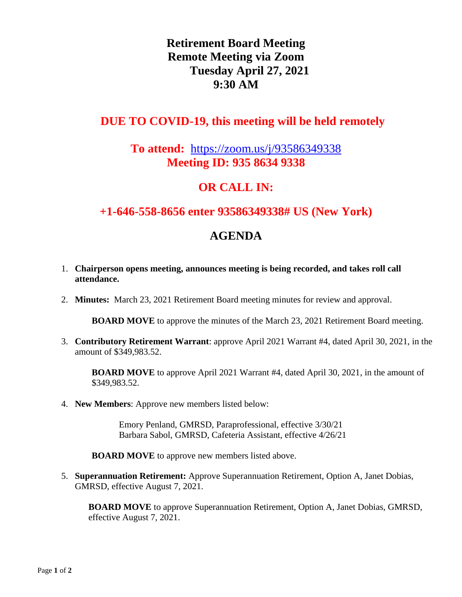# **Retirement Board Meeting Remote Meeting via Zoom Tuesday April 27, 2021 9:30 AM**

#### **DUE TO COVID-19, this meeting will be held remotely**

#### **To attend:** <https://zoom.us/j/93586349338> **Meeting ID: 935 8634 9338**

### **OR CALL IN:**

#### **+1-646-558-8656 enter 93586349338# US (New York)**

# **AGENDA**

- 1. **Chairperson opens meeting, announces meeting is being recorded, and takes roll call attendance.**
- 2. **Minutes:** March 23, 2021 Retirement Board meeting minutes for review and approval.

**BOARD MOVE** to approve the minutes of the March 23, 2021 Retirement Board meeting.

3. **Contributory Retirement Warrant**: approve April 2021 Warrant #4, dated April 30, 2021, in the amount of \$349,983.52.

**BOARD MOVE** to approve April 2021 Warrant #4, dated April 30, 2021, in the amount of \$349,983.52.

4. **New Members**: Approve new members listed below:

Emory Penland, GMRSD, Paraprofessional, effective 3/30/21 Barbara Sabol, GMRSD, Cafeteria Assistant, effective 4/26/21

**BOARD MOVE** to approve new members listed above.

5. **Superannuation Retirement:** Approve Superannuation Retirement, Option A, Janet Dobias, GMRSD, effective August 7, 2021.

**BOARD MOVE** to approve Superannuation Retirement, Option A, Janet Dobias, GMRSD, effective August 7, 2021.